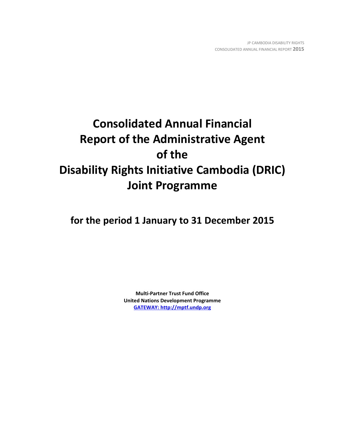# **Consolidated Annual Financial Report of the Administrative Agent of the Disability Rights Initiative Cambodia (DRIC) Joint Programme**

**for the period 1 January to 31 December 2015**

**Multi-Partner Trust Fund Office United Nations Development Programme [GATEWAY: http://mptf.undp.org](http://mptf.undp.org/)**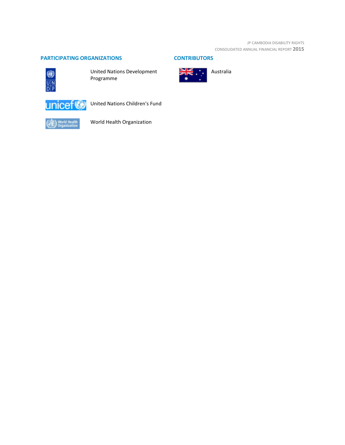JP CAMBODIA DISABILITY RIGHTS CONSOLIDATED ANNUAL FINANCIAL REPORT **2015**

# **PARTICIPATING ORGANIZATIONS CONTRIBUTORS**



United Nations Development Programme



United Nations Children's Fund



World Health Organization

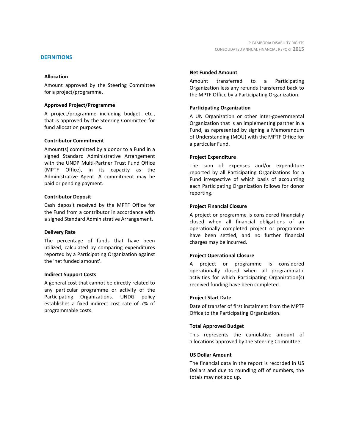#### **DEFINITIONS**

#### **Allocation**

Amount approved by the Steering Committee for a project/programme.

#### **Approved Project/Programme**

A project/programme including budget, etc., that is approved by the Steering Committee for fund allocation purposes.

#### **Contributor Commitment**

Amount(s) committed by a donor to a Fund in a signed Standard Administrative Arrangement with the UNDP Multi-Partner Trust Fund Office (MPTF Office), in its capacity as the Administrative Agent. A commitment may be paid or pending payment.

#### **Contributor Deposit**

Cash deposit received by the MPTF Office for the Fund from a contributor in accordance with a signed Standard Administrative Arrangement.

#### **Delivery Rate**

The percentage of funds that have been utilized, calculated by comparing expenditures reported by a Participating Organization against the 'net funded amount'.

#### **Indirect Support Costs**

A general cost that cannot be directly related to any particular programme or activity of the Participating Organizations. UNDG policy establishes a fixed indirect cost rate of 7% of programmable costs.

#### **Net Funded Amount**

Amount transferred to a Participating Organization less any refunds transferred back to the MPTF Office by a Participating Organization.

#### **Participating Organization**

A UN Organization or other inter-governmental Organization that is an implementing partner in a Fund, as represented by signing a Memorandum of Understanding (MOU) with the MPTF Office for a particular Fund.

#### **Project Expenditure**

The sum of expenses and/or expenditure reported by all Participating Organizations for a Fund irrespective of which basis of accounting each Participating Organization follows for donor reporting.

#### **Project Financial Closure**

A project or programme is considered financially closed when all financial obligations of an operationally completed project or programme have been settled, and no further financial charges may be incurred.

#### **Project Operational Closure**

A project or programme is considered operationally closed when all programmatic activities for which Participating Organization(s) received funding have been completed.

#### **Project Start Date**

Date of transfer of first instalment from the MPTF Office to the Participating Organization.

#### **Total Approved Budget**

This represents the cumulative amount of allocations approved by the Steering Committee.

#### **US Dollar Amount**

The financial data in the report is recorded in US Dollars and due to rounding off of numbers, the totals may not add up.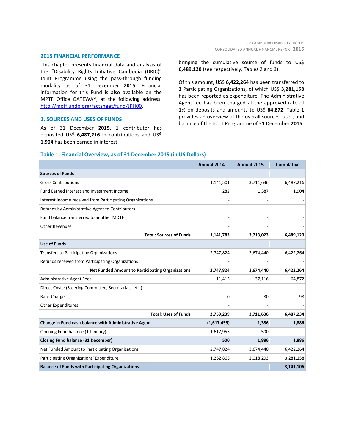#### **2015 FINANCIAL PERFORMANCE**

This chapter presents financial data and analysis of the "Disability Rights Initiative Cambodia (DRIC)" Joint Programme using the pass-through funding modality as of 31 December **2015**. Financial information for this Fund is also available on the MPTF Office GATEWAY, at the following address: [http://mptf.undp.org/factsheet/fund/JKH00.](http://mptf.undp.org/factsheet/fund/JKH00)

#### **1. SOURCES AND USES OF FUNDS**

As of 31 December **2015**, 1 contributor has deposited US\$ **6,487,216** in contributions and US\$ **1,904** has been earned in interest,

bringing the cumulative source of funds to US\$ **6,489,120** (see respectively, Tables 2 and 3).

Of this amount, US\$ **6,422,264** has been transferred to **3** Participating Organizations, of which US\$ **3,281,158** has been reported as expenditure. The Administrative Agent fee has been charged at the approved rate of 1% on deposits and amounts to US\$ **64,872**. Table 1 provides an overview of the overall sources, uses, and balance of the Joint Programme of 31 December **2015**.

### **Table 1. Financial Overview, as of 31 December 2015 (in US Dollars)**

|                                                           | Annual 2014 | Annual 2015 | <b>Cumulative</b> |
|-----------------------------------------------------------|-------------|-------------|-------------------|
| <b>Sources of Funds</b>                                   |             |             |                   |
| <b>Gross Contributions</b>                                | 1,141,501   | 3,711,636   | 6,487,216         |
| Fund Earned Interest and Investment Income                | 282         | 1,387       | 1,904             |
| Interest Income received from Participating Organizations |             |             |                   |
| Refunds by Administrative Agent to Contributors           |             |             |                   |
| Fund balance transferred to another MDTF                  |             |             |                   |
| <b>Other Revenues</b>                                     |             |             |                   |
| <b>Total: Sources of Funds</b>                            | 1,141,783   | 3,713,023   | 6,489,120         |
| <b>Use of Funds</b>                                       |             |             |                   |
| <b>Transfers to Participating Organizations</b>           | 2,747,824   | 3,674,440   | 6,422,264         |
| Refunds received from Participating Organizations         |             |             |                   |
| <b>Net Funded Amount to Participating Organizations</b>   | 2,747,824   | 3,674,440   | 6,422,264         |
| <b>Administrative Agent Fees</b>                          | 11,415      | 37,116      | 64,872            |
| Direct Costs: (Steering Committee, Secretariatetc.)       |             |             |                   |
| <b>Bank Charges</b>                                       | 0           | 80          | 98                |
| <b>Other Expenditures</b>                                 |             |             |                   |
| <b>Total: Uses of Funds</b>                               | 2,759,239   | 3,711,636   | 6,487,234         |
| Change in Fund cash balance with Administrative Agent     | (1,617,455) | 1,386       | 1,886             |
| Opening Fund balance (1 January)                          | 1,617,955   | 500         |                   |
| <b>Closing Fund balance (31 December)</b>                 | 500         | 1,886       | 1,886             |
| Net Funded Amount to Participating Organizations          | 2,747,824   | 3,674,440   | 6,422,264         |
| Participating Organizations' Expenditure                  | 1,262,865   | 2,018,293   | 3,281,158         |
| <b>Balance of Funds with Participating Organizations</b>  |             |             | 3,141,106         |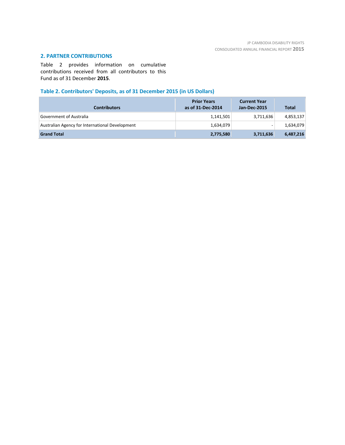# **2. PARTNER CONTRIBUTIONS**

Table 2 provides information on cumulative contributions received from all contributors to this Fund as of 31 December **2015**.

# **Table 2. Contributors' Deposits, as of 31 December 2015 (in US Dollars)**

| <b>Contributors</b>                             | <b>Prior Years</b><br>as of 31-Dec-2014 | <b>Current Year</b><br>Jan-Dec-2015 | <b>Total</b> |
|-------------------------------------------------|-----------------------------------------|-------------------------------------|--------------|
| <b>Government of Australia</b>                  | 1,141,501                               | 3,711,636                           | 4,853,137    |
| Australian Agency for International Development | 1,634,079                               |                                     | 1,634,079    |
| <b>Grand Total</b>                              | 2,775,580                               | 3,711,636                           | 6,487,216    |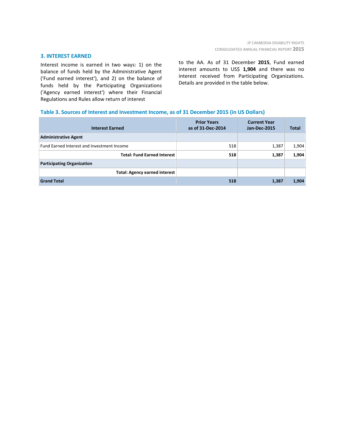#### **3. INTEREST EARNED**

Interest income is earned in two ways: 1) on the balance of funds held by the Administrative Agent ('Fund earned interest'), and 2) on the balance of funds held by the Participating Organizations ('Agency earned interest') where their Financial Regulations and Rules allow return of interest

to the AA. As of 31 December **2015**, Fund earned interest amounts to US\$ **1,904** and there was no interest received from Participating Organizations. Details are provided in the table below.

### **Table 3. Sources of Interest and Investment Income, as of 31 December 2015 (in US Dollars)**

| <b>Interest Earned</b>                     | <b>Prior Years</b><br>as of 31-Dec-2014 | <b>Current Year</b><br><b>Jan-Dec-2015</b> | <b>Total</b> |
|--------------------------------------------|-----------------------------------------|--------------------------------------------|--------------|
| <b>Administrative Agent</b>                |                                         |                                            |              |
| Fund Earned Interest and Investment Income | 518                                     | 1,387                                      | 1,904        |
| <b>Total: Fund Earned Interest</b>         | 518                                     | 1,387                                      | 1,904        |
| <b>Participating Organization</b>          |                                         |                                            |              |
| <b>Total: Agency earned interest</b>       |                                         |                                            |              |
| <b>Grand Total</b>                         | 518                                     | 1,387                                      | 1,904        |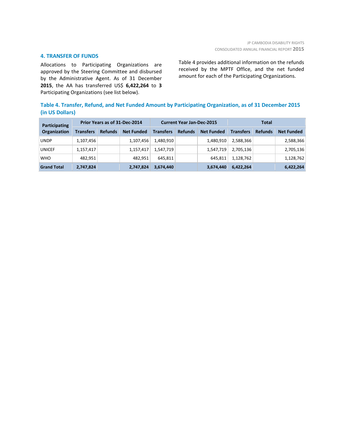#### **4. TRANSFER OF FUNDS**

Allocations to Participating Organizations are approved by the Steering Committee and disbursed by the Administrative Agent. As of 31 December **2015**, the AA has transferred US\$ **6,422,264** to **3** Participating Organizations (see list below).

Table 4 provides additional information on the refunds received by the MPTF Office, and the net funded amount for each of the Participating Organizations.

# **Table 4. Transfer, Refund, and Net Funded Amount by Participating Organization, as of 31 December 2015 (in US Dollars)**

| Participating<br><b>Organization</b> | Prior Years as of 31-Dec-2014 |                |                   | <b>Current Year Jan-Dec-2015</b> |                |                   | Total            |                |                   |
|--------------------------------------|-------------------------------|----------------|-------------------|----------------------------------|----------------|-------------------|------------------|----------------|-------------------|
|                                      | <b>Transfers</b>              | <b>Refunds</b> | <b>Net Funded</b> | <b>Transfers</b>                 | <b>Refunds</b> | <b>Net Funded</b> | <b>Transfers</b> | <b>Refunds</b> | <b>Net Funded</b> |
| <b>UNDP</b>                          | 1,107,456                     |                | 1,107,456         | 1,480,910                        |                | 1,480,910         | 2,588,366        |                | 2,588,366         |
| <b>UNICEF</b>                        | 1,157,417                     |                | 1,157,417         | 1,547,719                        |                | 1,547,719         | 2,705,136        |                | 2,705,136         |
| <b>WHO</b>                           | 482,951                       |                | 482.951           | 645,811                          |                | 645,811           | 1,128,762        |                | 1,128,762         |
| <b>Grand Total</b>                   | 2,747,824                     |                | 2,747,824         | 3,674,440                        |                | 3,674,440         | 6,422,264        |                | 6,422,264         |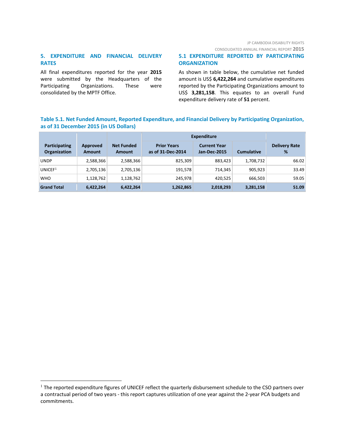CONSOLIDATED ANNUAL FINANCIAL REPORT **2015**

# **5. EXPENDITURE AND FINANCIAL DELIVERY RATES**

All final expenditures reported for the year **2015** were submitted by the Headquarters of the Participating Organizations. These were consolidated by the MPTF Office.

# **5.1 EXPENDITURE REPORTED BY PARTICIPATING ORGANIZATION**

As shown in table below, the cumulative net funded amount is US\$ **6,422,264** and cumulative expenditures reported by the Participating Organizations amount to US\$ **3,281,158**. This equates to an overall Fund expenditure delivery rate of **51** percent.

# **Table 5.1. Net Funded Amount, Reported Expenditure, and Financial Delivery by Participating Organization, as of 31 December 2015 (in US Dollars)**

|                                      |                           |                                    | <b>Expenditure</b>                      |                                     |                   |                           |
|--------------------------------------|---------------------------|------------------------------------|-----------------------------------------|-------------------------------------|-------------------|---------------------------|
| Participating<br><b>Organization</b> | Approved<br><b>Amount</b> | <b>Net Funded</b><br><b>Amount</b> | <b>Prior Years</b><br>as of 31-Dec-2014 | <b>Current Year</b><br>Jan-Dec-2015 | <b>Cumulative</b> | <b>Delivery Rate</b><br>% |
| <b>UNDP</b>                          | 2,588,366                 | 2,588,366                          | 825,309                                 | 883,423                             | 1,708,732         | 66.02                     |
| UNICEF <sup>1</sup>                  | 2,705,136                 | 2,705,136                          | 191,578                                 | 714,345                             | 905.923           | 33.49                     |
| <b>WHO</b>                           | 1,128,762                 | 1,128,762                          | 245.978                                 | 420,525                             | 666.503           | 59.05                     |
| <b>Grand Total</b>                   | 6,422,264                 | 6,422,264                          | 1,262,865                               | 2,018,293                           | 3,281,158         | 51.09                     |

<span id="page-7-0"></span> $1$  The reported expenditure figures of UNICEF reflect the quarterly disbursement schedule to the CSO partners over a contractual period of two years - this report captures utilization of one year against the 2-year PCA budgets and commitments.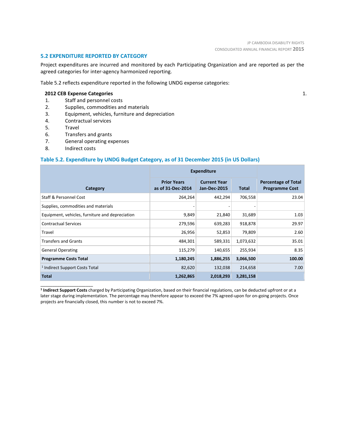1.

#### **5.2 EXPENDITURE REPORTED BY CATEGORY**

Project expenditures are incurred and monitored by each Participating Organization and are reported as per the agreed categories for inter-agency harmonized reporting.

Table 5.2 reflects expenditure reported in the following UNDG expense categories:

#### **2012 CEB Expense Categories**

- 1. Staff and personnel costs
- 2. Supplies, commodities and materials
- 3. Equipment, vehicles, furniture and depreciation
- 4. Contractual services
- 5. Travel
- 6. Transfers and grants
- 7. General operating expenses
- 8. Indirect costs

\_\_\_\_\_\_\_\_\_\_\_\_\_\_\_\_\_\_\_\_\_\_

## **Table 5.2. Expenditure by UNDG Budget Category, as of 31 December 2015 (in US Dollars)**

|                                                 | <b>Expenditure</b>                      |                                            |           |                                                     |
|-------------------------------------------------|-----------------------------------------|--------------------------------------------|-----------|-----------------------------------------------------|
| Category                                        | <b>Prior Years</b><br>as of 31-Dec-2014 | <b>Current Year</b><br><b>Jan-Dec-2015</b> | Total     | <b>Percentage of Total</b><br><b>Programme Cost</b> |
| Staff & Personnel Cost                          | 264,264                                 | 442,294                                    | 706,558   | 23.04                                               |
| Supplies, commodities and materials             |                                         |                                            |           |                                                     |
| Equipment, vehicles, furniture and depreciation | 9,849                                   | 21,840                                     | 31,689    | 1.03                                                |
| <b>Contractual Services</b>                     | 279,596                                 | 639,283                                    | 918,878   | 29.97                                               |
| Travel                                          | 26,956                                  | 52,853                                     | 79,809    | 2.60                                                |
| <b>Transfers and Grants</b>                     | 484,301                                 | 589,331                                    | 1,073,632 | 35.01                                               |
| <b>General Operating</b>                        | 115,279                                 | 140,655                                    | 255,934   | 8.35                                                |
| <b>Programme Costs Total</b>                    | 1,180,245                               | 1,886,255                                  | 3,066,500 | 100.00                                              |
| <sup>1</sup> Indirect Support Costs Total       | 82,620                                  | 132,038                                    | 214,658   | 7.00                                                |
| <b>Total</b>                                    | 1,262,865                               | 2,018,293                                  | 3,281,158 |                                                     |

**<sup>1</sup> Indirect Support Costs** charged by Participating Organization, based on their financial regulations, can be deducted upfront or at a later stage during implementation. The percentage may therefore appear to exceed the 7% agreed-upon for on-going projects. Once projects are financially closed, this number is not to exceed 7%.